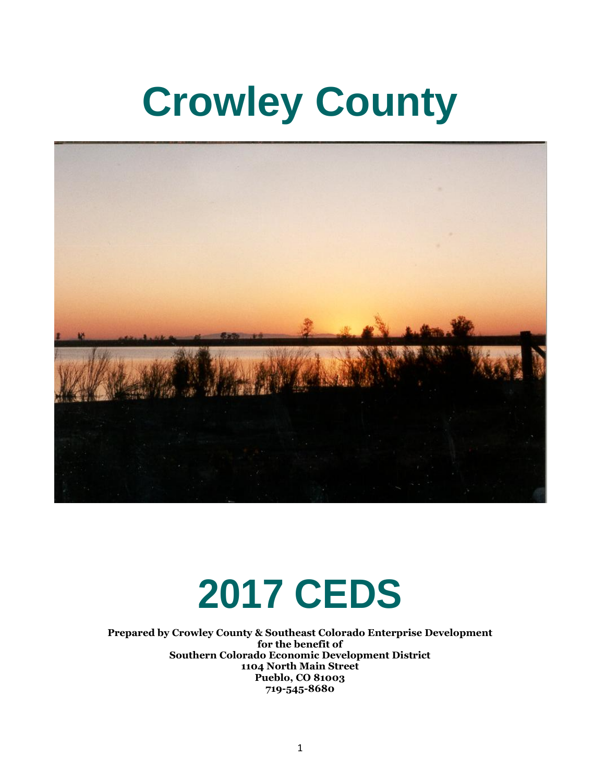# **Crowley County**



# **2017 CEDS**

**Prepared by Crowley County & Southeast Colorado Enterprise Development for the benefit of Southern Colorado Economic Development District 1104 North Main Street Pueblo, CO 81003 719-545-8680**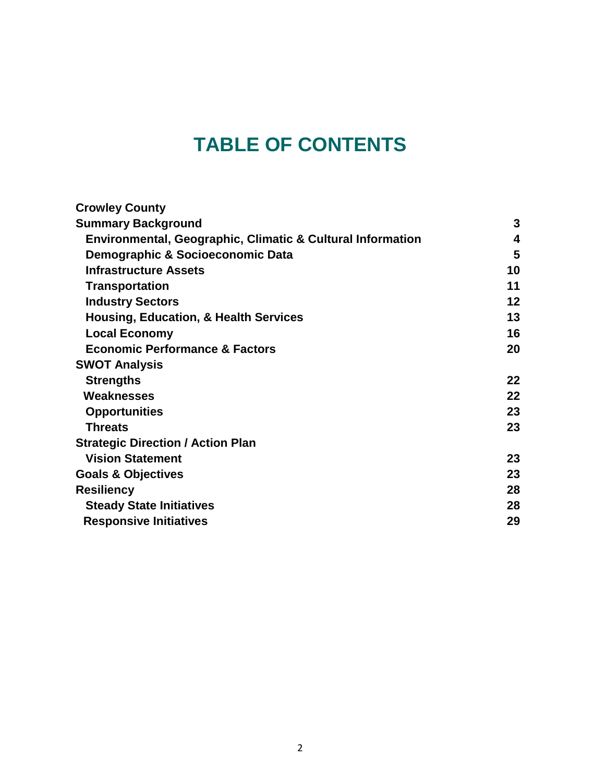# **TABLE OF CONTENTS**

| <b>Crowley County</b>                                      |    |
|------------------------------------------------------------|----|
| <b>Summary Background</b>                                  | 3  |
| Environmental, Geographic, Climatic & Cultural Information | 4  |
| Demographic & Socioeconomic Data                           | 5  |
| <b>Infrastructure Assets</b>                               | 10 |
| <b>Transportation</b>                                      | 11 |
| <b>Industry Sectors</b>                                    | 12 |
| <b>Housing, Education, &amp; Health Services</b>           | 13 |
| <b>Local Economy</b>                                       | 16 |
| <b>Economic Performance &amp; Factors</b>                  | 20 |
| <b>SWOT Analysis</b>                                       |    |
| <b>Strengths</b>                                           | 22 |
| Weaknesses                                                 | 22 |
| <b>Opportunities</b>                                       | 23 |
| <b>Threats</b>                                             | 23 |
| <b>Strategic Direction / Action Plan</b>                   |    |
| <b>Vision Statement</b>                                    | 23 |
| <b>Goals &amp; Objectives</b>                              | 23 |
| <b>Resiliency</b>                                          | 28 |
| <b>Steady State Initiatives</b>                            | 28 |
| <b>Responsive Initiatives</b>                              | 29 |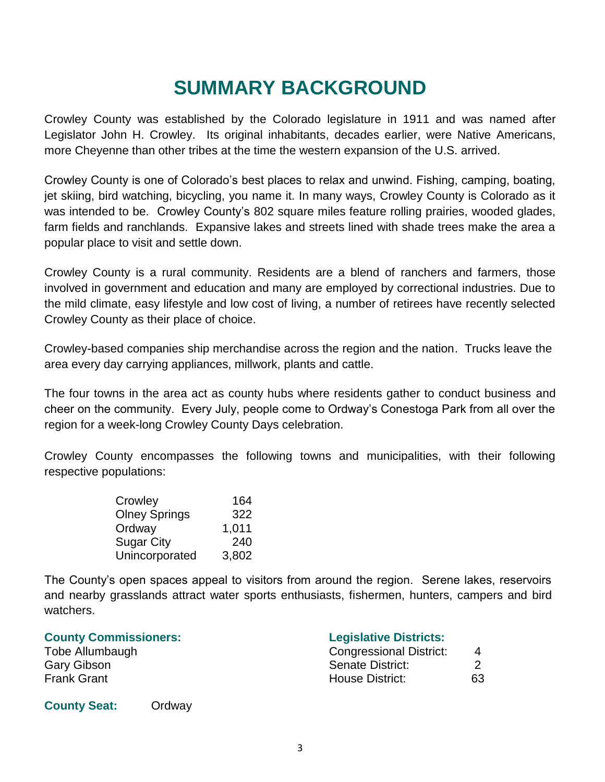# **SUMMARY BACKGROUND**

Crowley County was established by the Colorado legislature in 1911 and was named after Legislator John H. Crowley. Its original inhabitants, decades earlier, were Native Americans, more Cheyenne than other tribes at the time the western expansion of the U.S. arrived.

Crowley County is one of Colorado's best places to relax and unwind. Fishing, camping, boating, jet skiing, bird watching, bicycling, you name it. In many ways, Crowley County is Colorado as it was intended to be. Crowley County's 802 square miles feature rolling prairies, wooded glades, farm fields and ranchlands. Expansive lakes and streets lined with shade trees make the area a popular place to visit and settle down.

Crowley County is a rural community. Residents are a blend of ranchers and farmers, those involved in government and education and many are employed by correctional industries. Due to the mild climate, easy lifestyle and low cost of living, a number of retirees have recently selected Crowley County as their place of choice.

Crowley-based companies ship merchandise across the region and the nation. Trucks leave the area every day carrying appliances, millwork, plants and cattle.

The four towns in the area act as county hubs where residents gather to conduct business and cheer on the community. Every July, people come to Ordway's Conestoga Park from all over the region for a week-long Crowley County Days celebration.

Crowley County encompasses the following towns and municipalities, with their following respective populations:

| Crowley              | 164   |
|----------------------|-------|
| <b>Olney Springs</b> | 322   |
| Ordway               | 1,011 |
| <b>Sugar City</b>    | 240   |
| Unincorporated       | 3,802 |

The County's open spaces appeal to visitors from around the region. Serene lakes, reservoirs and nearby grasslands attract water sports enthusiasts, fishermen, hunters, campers and bird watchers.

| <b>Legislative Districts:</b>  |    |
|--------------------------------|----|
| <b>Congressional District:</b> | 4  |
| Senate District:               |    |
| House District:                | 63 |
|                                |    |

#### **County Seat:** Ordway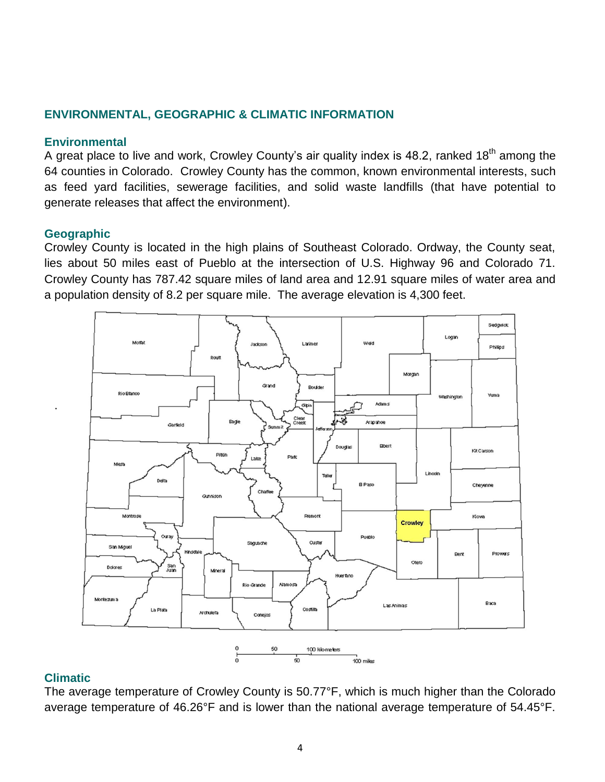# **ENVIRONMENTAL, GEOGRAPHIC & CLIMATIC INFORMATION**

#### **Environmental**

A great place to live and work, Crowley County's air quality index is 48.2, ranked 18<sup>th</sup> among the 64 counties in Colorado. Crowley County has the common, known environmental interests, such as feed yard facilities, sewerage facilities, and solid waste landfills (that have potential to generate releases that affect the environment).

#### **Geographic**

.

Crowley County is located in the high plains of Southeast Colorado. Ordway, the County seat, lies about 50 miles east of Pueblo at the intersection of U.S. Highway 96 and Colorado 71. Crowley County has 787.42 square miles of land area and 12.91 square miles of water area and a population density of 8.2 per square mile. The average elevation is 4,300 feet.



#### **Climatic**

The average temperature of Crowley County is 50.77°F, which is much higher than the Colorado average temperature of 46.26°F and is lower than the national average temperature of 54.45°F.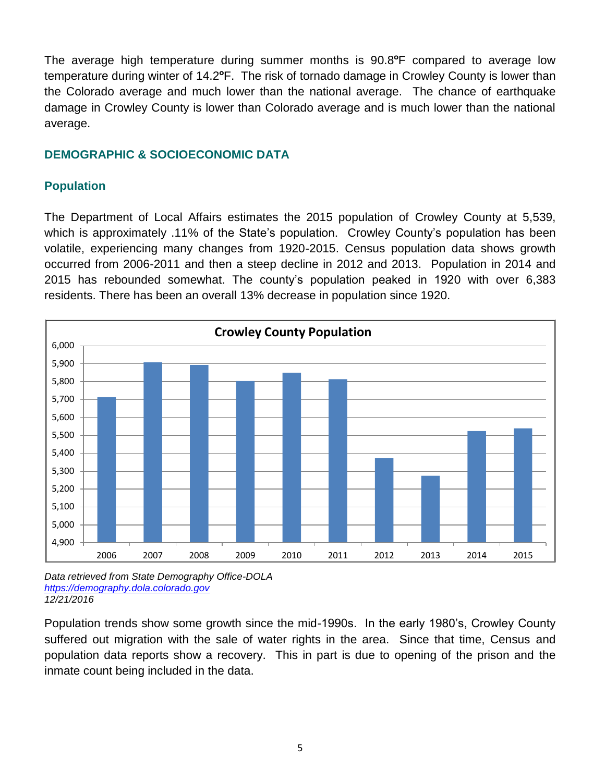The average high temperature during summer months is 90.8**º**F compared to average low temperature during winter of 14.2**º**F. The risk of tornado damage in Crowley County is lower than the Colorado average and much lower than the national average. The chance of earthquake damage in Crowley County is lower than Colorado average and is much lower than the national average.

# **DEMOGRAPHIC & SOCIOECONOMIC DATA**

# **Population**

The Department of Local Affairs estimates the 2015 population of Crowley County at 5,539, which is approximately .11% of the State's population. Crowley County's population has been volatile, experiencing many changes from 1920-2015. Census population data shows growth occurred from 2006-2011 and then a steep decline in 2012 and 2013. Population in 2014 and 2015 has rebounded somewhat. The county's population peaked in 1920 with over 6,383 residents. There has been an overall 13% decrease in population since 1920.



*Data retrieved from State Demography Office-DOLA [https://demography.dola.colorado.gov](https://demography.dola.colorado.gov/) 12/21/2016*

Population trends show some growth since the mid-1990s. In the early 1980's, Crowley County suffered out migration with the sale of water rights in the area. Since that time, Census and population data reports show a recovery. This in part is due to opening of the prison and the inmate count being included in the data.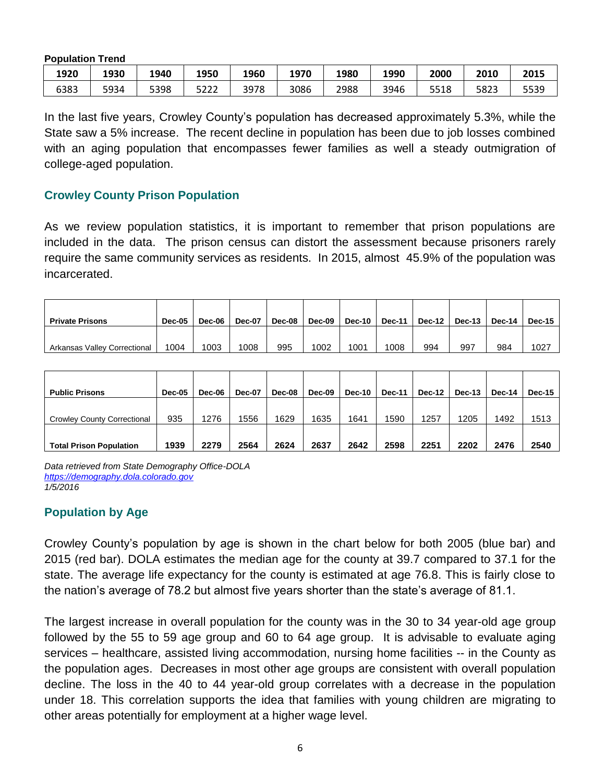**Population Trend**

| 1920 | 1930 | 1940 | 1950 | 1960 | 1970 | 1980 | 1990 | 2000 | 2010 | 2015 |
|------|------|------|------|------|------|------|------|------|------|------|
| 6383 | 5934 | 5398 | 5222 | 3978 | 3086 | 2988 | 3946 | 5518 | 5823 | 5539 |

In the last five years, Crowley County's population has decreased approximately 5.3%, while the State saw a 5% increase. The recent decline in population has been due to job losses combined with an aging population that encompasses fewer families as well a steady outmigration of college-aged population.

#### **Crowley County Prison Population**

As we review population statistics, it is important to remember that prison populations are included in the data. The prison census can distort the assessment because prisoners rarely require the same community services as residents. In 2015, almost 45.9% of the population was incarcerated.

| <b>Private Prisons</b>       | Dec-05 | Dec-06 | <b>Dec-07</b> | Dec-08 | Dec-09 | Dec-10 | <b>Dec-11</b> | Dec-12 | Dec-13 | Dec-14 | <b>Dec-15</b> |
|------------------------------|--------|--------|---------------|--------|--------|--------|---------------|--------|--------|--------|---------------|
| Arkansas Valley Correctional | 1004   | 1003   | 1008          | 995    | 1002   | 1001   | 1008          | 994    | 997    | 984    | 1027          |

| <b>Public Prisons</b>              | Dec-05 | Dec-06 | <b>Dec-07</b> | Dec-08 | Dec-09 | Dec-10 | <b>Dec-11</b> | Dec-12 | <b>Dec-13</b> | <b>Dec-14</b> | Dec-15 |
|------------------------------------|--------|--------|---------------|--------|--------|--------|---------------|--------|---------------|---------------|--------|
| <b>Crowley County Correctional</b> | 935    | 1276   | 1556          | 1629   | 1635   | 1641   | 1590          | 1257   | 1205          | 1492          | 1513   |
| <b>Total Prison Population</b>     | 1939   | 2279   | 2564          | 2624   | 2637   | 2642   | 2598          | 2251   | 2202          | 2476          | 2540   |

*Data retrieved from State Demography Office-DOLA [https://demography.dola.colorado.gov](https://demography.dola.colorado.gov/) 1/5/2016*

# **Population by Age**

Crowley County's population by age is shown in the chart below for both 2005 (blue bar) and 2015 (red bar). DOLA estimates the median age for the county at 39.7 compared to 37.1 for the state. The average life expectancy for the county is estimated at age 76.8. This is fairly close to the nation's average of 78.2 but almost five years shorter than the state's average of 81.1.

The largest increase in overall population for the county was in the 30 to 34 year-old age group followed by the 55 to 59 age group and 60 to 64 age group. It is advisable to evaluate aging services – healthcare, assisted living accommodation, nursing home facilities -- in the County as the population ages. Decreases in most other age groups are consistent with overall population decline. The loss in the 40 to 44 year-old group correlates with a decrease in the population under 18. This correlation supports the idea that families with young children are migrating to other areas potentially for employment at a higher wage level.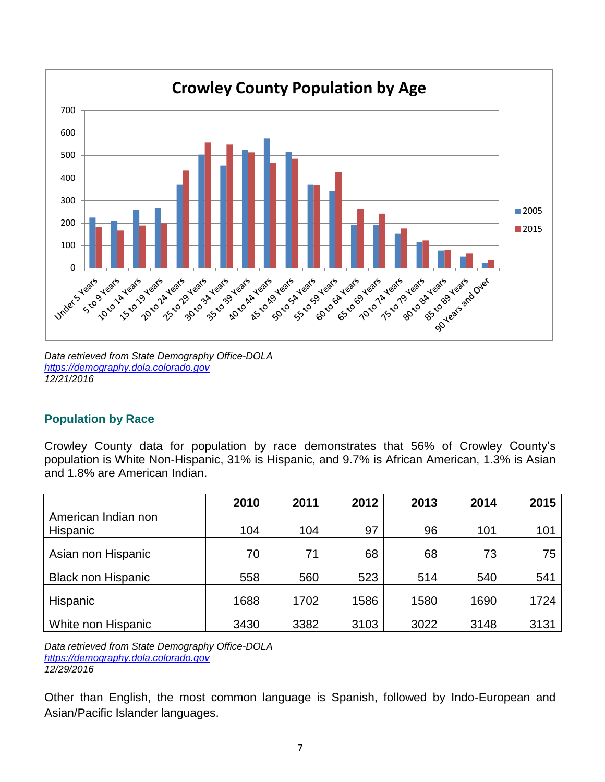

*Data retrieved from State Demography Office-DOLA [https://demography.dola.colorado.gov](https://demography.dola.colorado.gov/) 12/21/2016*

# **Population by Race**

Crowley County data for population by race demonstrates that 56% of Crowley County's population is White Non-Hispanic, 31% is Hispanic, and 9.7% is African American, 1.3% is Asian and 1.8% are American Indian.

|                           | 2010 | 2011 | 2012 | 2013 | 2014 | 2015 |
|---------------------------|------|------|------|------|------|------|
| American Indian non       |      |      |      |      |      |      |
| Hispanic                  | 104  | 104  | 97   | 96   | 101  | 101  |
| Asian non Hispanic        | 70   | 71   | 68   | 68   | 73   | 75   |
| <b>Black non Hispanic</b> | 558  | 560  | 523  | 514  | 540  | 541  |
| <b>Hispanic</b>           | 1688 | 1702 | 1586 | 1580 | 1690 | 1724 |
| White non Hispanic        | 3430 | 3382 | 3103 | 3022 | 3148 | 3131 |

*Data retrieved from State Demography Office-DOLA [https://demography.dola.colorado.gov](https://demography.dola.colorado.gov/) 12/29/2016*

Other than English, the most common language is Spanish, followed by Indo-European and Asian/Pacific Islander languages.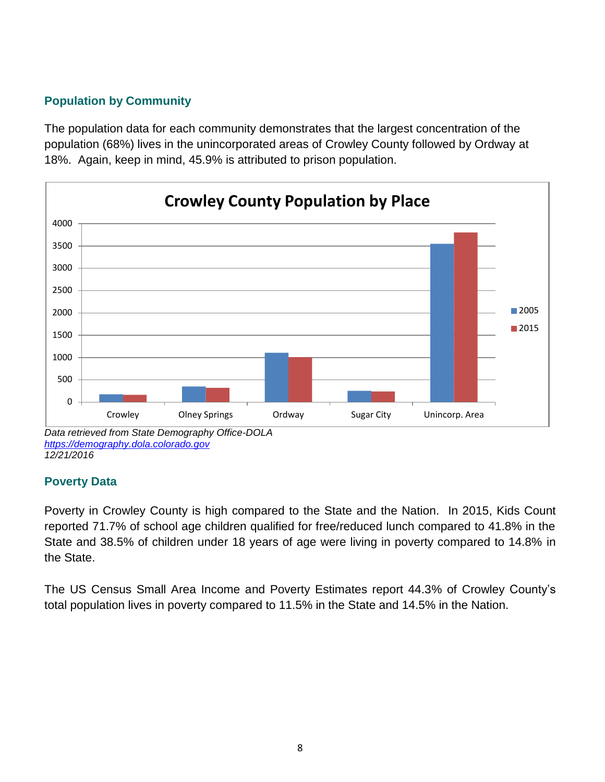# **Population by Community**

The population data for each community demonstrates that the largest concentration of the population (68%) lives in the unincorporated areas of Crowley County followed by Ordway at 18%. Again, keep in mind, 45.9% is attributed to prison population.



*Data retrieved from State Demography Office-DOLA [https://demography.dola.colorado.gov](https://demography.dola.colorado.gov/) 12/21/2016*

# **Poverty Data**

Poverty in Crowley County is high compared to the State and the Nation. In 2015, Kids Count reported 71.7% of school age children qualified for free/reduced lunch compared to 41.8% in the State and 38.5% of children under 18 years of age were living in poverty compared to 14.8% in the State.

The US Census Small Area Income and Poverty Estimates report 44.3% of Crowley County's total population lives in poverty compared to 11.5% in the State and 14.5% in the Nation.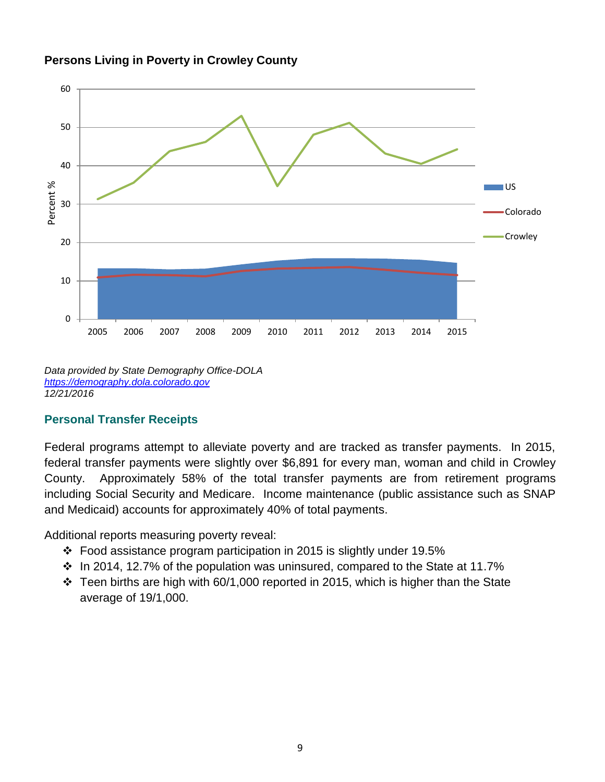



*Data provided by State Demography Office-DOLA [https://demography.dola.colorado.gov](https://demography.dola.colorado.gov/) 12/21/2016*

# **Personal Transfer Receipts**

Federal programs attempt to alleviate poverty and are tracked as transfer payments. In 2015, federal transfer payments were slightly over \$6,891 for every man, woman and child in Crowley County. Approximately 58% of the total transfer payments are from retirement programs including Social Security and Medicare. Income maintenance (public assistance such as SNAP and Medicaid) accounts for approximately 40% of total payments.

Additional reports measuring poverty reveal:

- $\div$  Food assistance program participation in 2015 is slightly under 19.5%
- $\cdot$  In 2014, 12.7% of the population was uninsured, compared to the State at 11.7%
- $\cdot$  Teen births are high with 60/1,000 reported in 2015, which is higher than the State average of 19/1,000.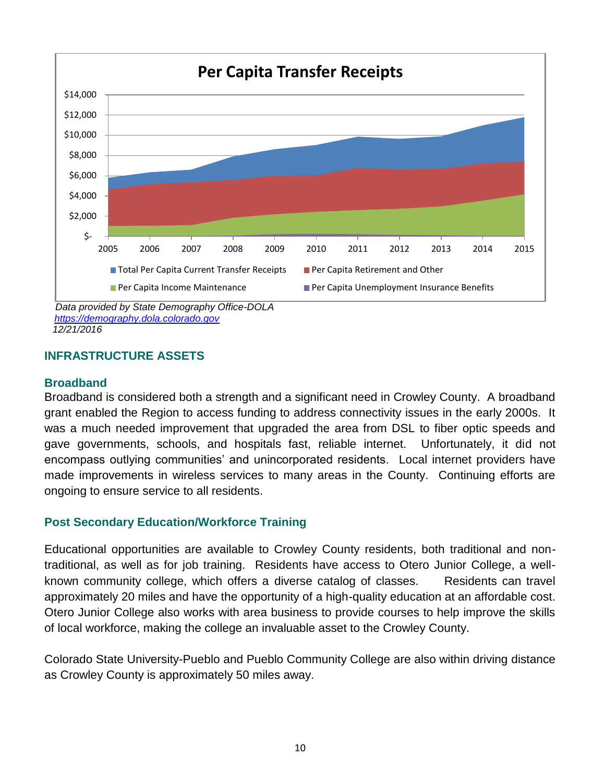

 *[https://demography.dola.colorado.gov](https://demography.dola.colorado.gov/) 12/21/2016*

# **INFRASTRUCTURE ASSETS**

#### **Broadband**

Broadband is considered both a strength and a significant need in Crowley County. A broadband grant enabled the Region to access funding to address connectivity issues in the early 2000s. It was a much needed improvement that upgraded the area from DSL to fiber optic speeds and gave governments, schools, and hospitals fast, reliable internet. Unfortunately, it did not encompass outlying communities' and unincorporated residents. Local internet providers have made improvements in wireless services to many areas in the County. Continuing efforts are ongoing to ensure service to all residents.

# **Post Secondary Education/Workforce Training**

Educational opportunities are available to Crowley County residents, both traditional and nontraditional, as well as for job training. Residents have access to Otero Junior College, a wellknown community college, which offers a diverse catalog of classes. Residents can travel approximately 20 miles and have the opportunity of a high-quality education at an affordable cost. Otero Junior College also works with area business to provide courses to help improve the skills of local workforce, making the college an invaluable asset to the Crowley County.

Colorado State University-Pueblo and Pueblo Community College are also within driving distance as Crowley County is approximately 50 miles away.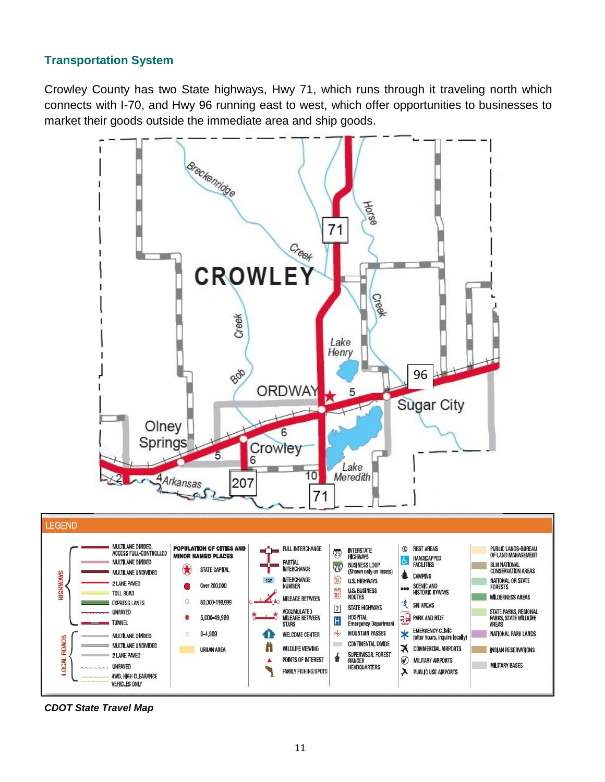# **Transportation System**

Crowley County has two State highways, Hwy 71, which runs through it traveling north which connects with I-70, and Hwy 96 running east to west, which offer opportunities to businesses to market their goods outside the immediate area and ship goods.



*CDOT State Travel Map*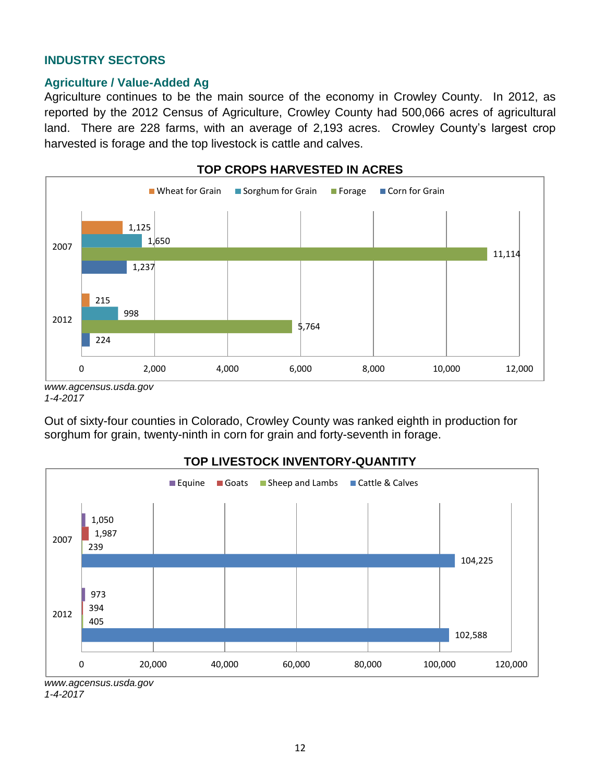#### **INDUSTRY SECTORS**

#### **Agriculture / Value-Added Ag**

Agriculture continues to be the main source of the economy in Crowley County. In 2012, as reported by the 2012 Census of Agriculture, Crowley County had 500,066 acres of agricultural land. There are 228 farms, with an average of 2,193 acres. Crowley County's largest crop harvested is forage and the top livestock is cattle and calves.



*<sup>1-4-2017</sup>*

Out of sixty-four counties in Colorado, Crowley County was ranked eighth in production for sorghum for grain, twenty-ninth in corn for grain and forty-seventh in forage.



#### **TOP LIVESTOCK INVENTORY-QUANTITY**

*[www.agcensus.usda.gov](http://www.agcensus.usda.gov/) 1-4-2017*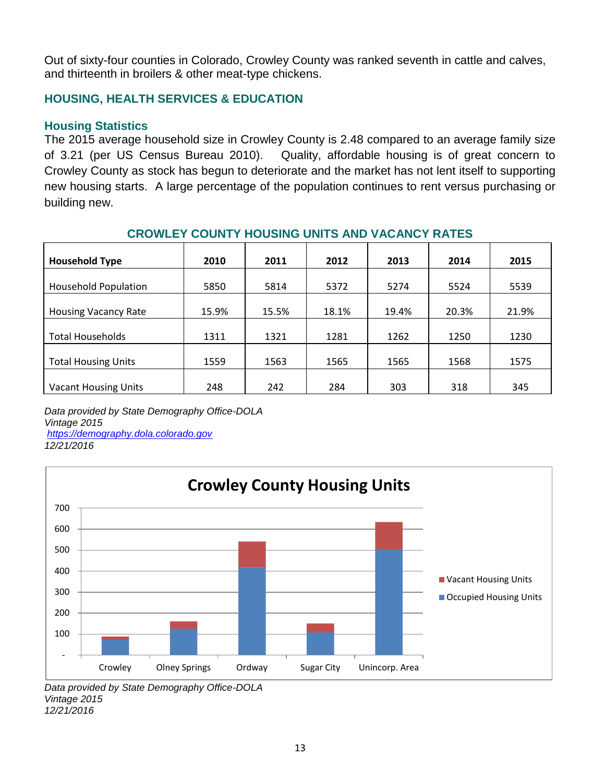Out of sixty-four counties in Colorado, Crowley County was ranked seventh in cattle and calves, and thirteenth in broilers & other meat-type chickens.

# **HOUSING, HEALTH SERVICES & EDUCATION**

#### **Housing Statistics**

The 2015 average household size in Crowley County is 2.48 compared to an average family size of 3.21 (per US Census Bureau 2010). Quality, affordable housing is of great concern to Crowley County as stock has begun to deteriorate and the market has not lent itself to supporting new housing starts. A large percentage of the population continues to rent versus purchasing or building new.

| <b>Household Type</b>       | 2010  | 2011  | 2012  | 2013  | 2014  | 2015  |
|-----------------------------|-------|-------|-------|-------|-------|-------|
| <b>Household Population</b> | 5850  | 5814  | 5372  | 5274  | 5524  | 5539  |
| <b>Housing Vacancy Rate</b> | 15.9% | 15.5% | 18.1% | 19.4% | 20.3% | 21.9% |
| <b>Total Households</b>     | 1311  | 1321  | 1281  | 1262  | 1250  | 1230  |
| <b>Total Housing Units</b>  | 1559  | 1563  | 1565  | 1565  | 1568  | 1575  |
| <b>Vacant Housing Units</b> | 248   | 242   | 284   | 303   | 318   | 345   |

#### **CROWLEY COUNTY HOUSING UNITS AND VACANCY RATES**

*Data provided by State Demography Office-DOLA Vintage 2015 [https://demography.dola.colorado.gov](https://demography.dola.colorado.gov/)*

*12/21/2016*



*Data provided by State Demography Office-DOLA Vintage 2015 12/21/2016*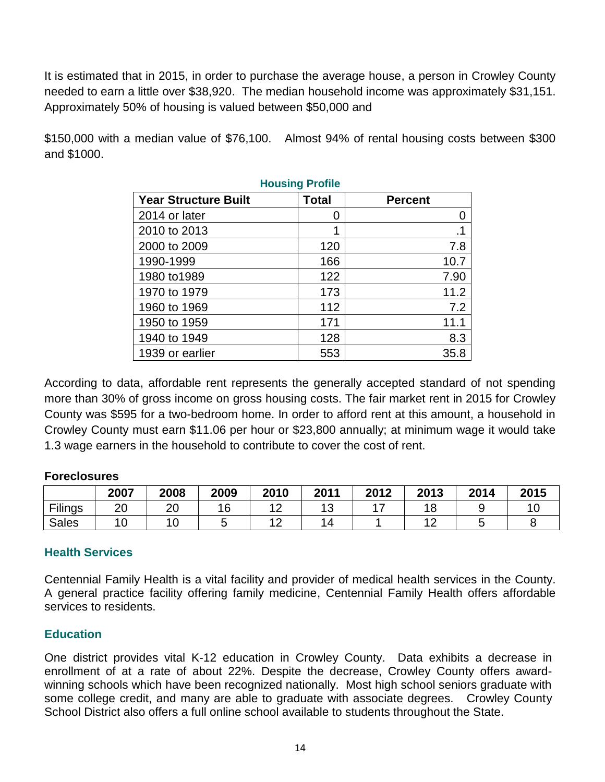It is estimated that in 2015, in order to purchase the average house, a person in Crowley County needed to earn a little over \$38,920. The median household income was approximately \$31,151. Approximately 50% of housing is valued between \$50,000 and

\$150,000 with a median value of \$76,100. Almost 94% of rental housing costs between \$300 and \$1000.

| <b>Housing Profile</b>      |               |                |  |  |  |  |  |  |  |  |
|-----------------------------|---------------|----------------|--|--|--|--|--|--|--|--|
| <b>Year Structure Built</b> | <b>Total</b>  | <b>Percent</b> |  |  |  |  |  |  |  |  |
| 2014 or later               | $\mathcal{L}$ | 0              |  |  |  |  |  |  |  |  |
| 2010 to 2013                | 1             | .1             |  |  |  |  |  |  |  |  |
| 2000 to 2009                | 120           | 7.8            |  |  |  |  |  |  |  |  |
| 1990-1999                   | 166           | 10.7           |  |  |  |  |  |  |  |  |
| 1980 to 1989                | 122           | 7.90           |  |  |  |  |  |  |  |  |
| 1970 to 1979                | 173           | 11.2           |  |  |  |  |  |  |  |  |
| 1960 to 1969                | 112           | 7.2            |  |  |  |  |  |  |  |  |
| 1950 to 1959                | 171           | 11.1           |  |  |  |  |  |  |  |  |
| 1940 to 1949                | 128           | 8.3            |  |  |  |  |  |  |  |  |
| 1939 or earlier             | 553           | 35.8           |  |  |  |  |  |  |  |  |

According to data, affordable rent represents the generally accepted standard of not spending more than 30% of gross income on gross housing costs. The fair market rent in 2015 for Crowley County was \$595 for a two-bedroom home. In order to afford rent at this amount, a household in Crowley County must earn \$11.06 per hour or \$23,800 annually; at minimum wage it would take 1.3 wage earners in the household to contribute to cover the cost of rent.

#### **Foreclosures**

|              | 2007 | 2008 | 2009 | 2010               | 2011      | 2012 | 2013               | 2014 | 2015 |
|--------------|------|------|------|--------------------|-----------|------|--------------------|------|------|
| Filings      | 20   | 20   | 16   | $\sim$<br>_        | י י<br>ັບ |      | 1 Q<br>ı o         |      |      |
| <b>Sales</b> | 10   | ັບ   | ີ    | $\sim$<br><u>_</u> |           |      | $\Lambda$ $\Omega$ |      |      |

#### **Health Services**

Centennial Family Health is a vital facility and provider of medical health services in the County. A general practice facility offering family medicine, Centennial Family Health offers affordable services to residents.

# **Education**

One district provides vital K-12 education in Crowley County. Data exhibits a decrease in enrollment of at a rate of about 22%. Despite the decrease, Crowley County offers awardwinning schools which have been recognized nationally. Most high school seniors graduate with some college credit, and many are able to graduate with associate degrees. Crowley County School District also offers a full online school available to students throughout the State.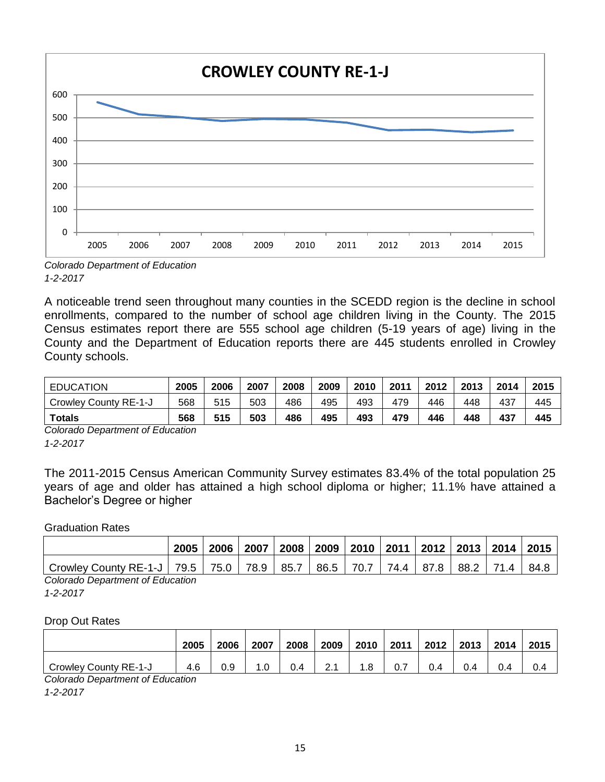

*Colorado Department of Education 1-2-2017*

A noticeable trend seen throughout many counties in the SCEDD region is the decline in school enrollments, compared to the number of school age children living in the County. The 2015 Census estimates report there are 555 school age children (5-19 years of age) living in the County and the Department of Education reports there are 445 students enrolled in Crowley County schools.

| <b>EDUCATION</b>      | 2005 | 2006 | 2007 | 2008 | 2009 | 2010 | 2011 | 2012 | 2013 | 2014 | 2015 |
|-----------------------|------|------|------|------|------|------|------|------|------|------|------|
| Crowley County RE-1-J | 568  | 515  | 503  | 486  | 495  | 493  | 479  | 446  | 448  | 437  | 445  |
| Totals                | 568  | 515  | 503  | 486  | 495  | 493  | 479  | 446  | 448  | 437  | 445  |

*Colorado Department of Education 1-2-2017*

The 2011-2015 Census American Community Survey estimates 83.4% of the total population 25 years of age and older has attained a high school diploma or higher; 11.1% have attained a Bachelor's Degree or higher

#### Graduation Rates

|                                            | 2005 | 2006 | 2007 |  | 2008   2009   2010   2011   2012   2013   2014   2015 |  |      |
|--------------------------------------------|------|------|------|--|-------------------------------------------------------|--|------|
| Crowley County RE-1-J   79.5   75.0   78.9 |      |      |      |  | 85.7   86.5   70.7   74.4   87.8   88.2   71.4        |  | 84.8 |
| Oslanda Danastinant of Education           |      |      |      |  |                                                       |  |      |

*Colorado Department of Education*

*1-2-2017*

#### Drop Out Rates

|                       | 2005 | 2006 | 2007 | 2008 | 2009                    | 2010 | 2011 | 2012 | 2013 | 2014 | 2015 |
|-----------------------|------|------|------|------|-------------------------|------|------|------|------|------|------|
| Crowley County RE-1-J | 4.6  | 0.9  | 1.U  | 0.4  | $\sim$ $\lambda$<br>۵.۱ | .8،  | 0.7  | 4    |      | U.   |      |

*Colorado Department of Education*

*1-2-2017*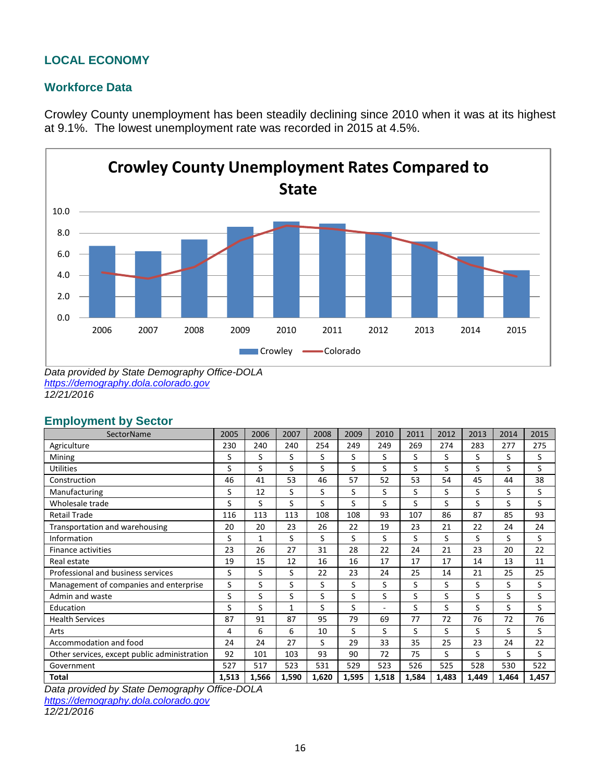# **LOCAL ECONOMY**

#### **Workforce Data**

Crowley County unemployment has been steadily declining since 2010 when it was at its highest at 9.1%. The lowest unemployment rate was recorded in 2015 at 4.5%.



*Data provided by State Demography Office-DOLA [https://demography.dola.colorado.gov](https://demography.dola.colorado.gov/) 12/21/2016*

#### **Employment by Sector**

| SectorName                                   | 2005  | 2006  | 2007  | 2008  | 2009  | 2010  | 2011  | 2012  | 2013  | 2014  | 2015  |
|----------------------------------------------|-------|-------|-------|-------|-------|-------|-------|-------|-------|-------|-------|
| Agriculture                                  | 230   | 240   | 240   | 254   | 249   | 249   | 269   | 274   | 283   | 277   | 275   |
| Mining                                       | S     | S     | S     | S     | S     | S     | S     | S     | S     | S     | S     |
| <b>Utilities</b>                             | S     | S     | S     | S     | S     | S     | S     | S     | S     | S     | S     |
| Construction                                 | 46    | 41    | 53    | 46    | 57    | 52    | 53    | 54    | 45    | 44    | 38    |
| Manufacturing                                | S     | 12    | S     | S     | S     | S     | S     | S     | S     | S     | S     |
| Wholesale trade                              | S     | S     | S     | S     | S     | S     | S     | S     | S     | S     | S     |
| <b>Retail Trade</b>                          | 116   | 113   | 113   | 108   | 108   | 93    | 107   | 86    | 87    | 85    | 93    |
| Transportation and warehousing               | 20    | 20    | 23    | 26    | 22    | 19    | 23    | 21    | 22    | 24    | 24    |
| Information                                  | S     | 1     | S     | S     | S     | S     | S     | S     | S     | S     | S     |
| <b>Finance activities</b>                    | 23    | 26    | 27    | 31    | 28    | 22    | 24    | 21    | 23    | 20    | 22    |
| Real estate                                  | 19    | 15    | 12    | 16    | 16    | 17    | 17    | 17    | 14    | 13    | 11    |
| Professional and business services           | S     | S     | S     | 22    | 23    | 24    | 25    | 14    | 21    | 25    | 25    |
| Management of companies and enterprise       | S     | S     | S     | S     | S     | S     | S     | S     | S     | S     | S     |
| Admin and waste                              | S     | S     | S     | S     | S     | S     | S     | S     | S     | S     | S     |
| Education                                    | S     | S     | 1     | S     | S     | ۰     | S     | S     | S     | S     | S     |
| <b>Health Services</b>                       | 87    | 91    | 87    | 95    | 79    | 69    | 77    | 72    | 76    | 72    | 76    |
| Arts                                         | 4     | 6     | 6     | 10    | S     | S     | S     | S     | S     | S     | S     |
| Accommodation and food                       | 24    | 24    | 27    | S     | 29    | 33    | 35    | 25    | 23    | 24    | 22    |
| Other services, except public administration | 92    | 101   | 103   | 93    | 90    | 72    | 75    | S     | S     | S     | S     |
| Government                                   | 527   | 517   | 523   | 531   | 529   | 523   | 526   | 525   | 528   | 530   | 522   |
| <b>Total</b>                                 | 1,513 | 1,566 | 1,590 | 1,620 | 1,595 | 1,518 | 1,584 | 1,483 | 1,449 | 1,464 | 1,457 |

*Data provided by State Demography Office-DOLA*

*[https://demography.dola.colorado.gov](https://demography.dola.colorado.gov/)*

*12/21/2016*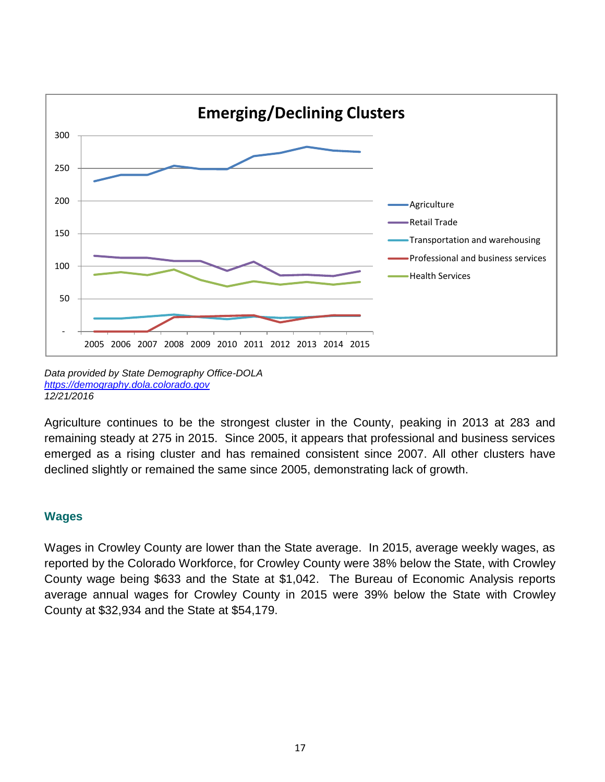

*Data provided by State Demography Office-DOLA [https://demography.dola.colorado.gov](https://demography.dola.colorado.gov/) 12/21/2016*

Agriculture continues to be the strongest cluster in the County, peaking in 2013 at 283 and remaining steady at 275 in 2015. Since 2005, it appears that professional and business services emerged as a rising cluster and has remained consistent since 2007. All other clusters have declined slightly or remained the same since 2005, demonstrating lack of growth.

# **Wages**

Wages in Crowley County are lower than the State average. In 2015, average weekly wages, as reported by the Colorado Workforce, for Crowley County were 38% below the State, with Crowley County wage being \$633 and the State at \$1,042. The Bureau of Economic Analysis reports average annual wages for Crowley County in 2015 were 39% below the State with Crowley County at \$32,934 and the State at \$54,179.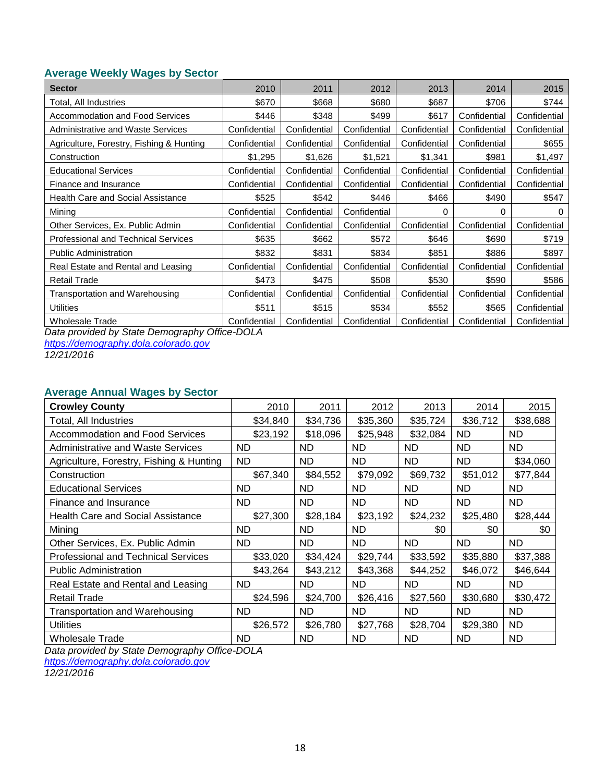#### **Average Weekly Wages by Sector**

| <b>Sector</b>                              | 2010         | 2011         | 2012         | 2013         | 2014         | 2015         |
|--------------------------------------------|--------------|--------------|--------------|--------------|--------------|--------------|
| Total, All Industries                      | \$670        | \$668        | \$680        | \$687        | \$706        | \$744        |
| Accommodation and Food Services            | \$446        | \$348        | \$499        | \$617        | Confidential | Confidential |
| <b>Administrative and Waste Services</b>   | Confidential | Confidential | Confidential | Confidential | Confidential | Confidential |
| Agriculture, Forestry, Fishing & Hunting   | Confidential | Confidential | Confidential | Confidential | Confidential | \$655        |
| Construction                               | \$1,295      | \$1,626      | \$1,521      | \$1,341      | \$981        | \$1,497      |
| <b>Educational Services</b>                | Confidential | Confidential | Confidential | Confidential | Confidential | Confidential |
| Finance and Insurance                      | Confidential | Confidential | Confidential | Confidential | Confidential | Confidential |
| <b>Health Care and Social Assistance</b>   | \$525        | \$542        | \$446        | \$466        | \$490        | \$547        |
| Mining                                     | Confidential | Confidential | Confidential | 0            | 0            | 0            |
| Other Services, Ex. Public Admin           | Confidential | Confidential | Confidential | Confidential | Confidential | Confidential |
| <b>Professional and Technical Services</b> | \$635        | \$662        | \$572        | \$646        | \$690        | \$719        |
| <b>Public Administration</b>               | \$832        | \$831        | \$834        | \$851        | \$886        | \$897        |
| Real Estate and Rental and Leasing         | Confidential | Confidential | Confidential | Confidential | Confidential | Confidential |
| <b>Retail Trade</b>                        | \$473        | \$475        | \$508        | \$530        | \$590        | \$586        |
| Transportation and Warehousing             | Confidential | Confidential | Confidential | Confidential | Confidential | Confidential |
| Utilities                                  | \$511        | \$515        | \$534        | \$552        | \$565        | Confidential |
| Wholesale Trade                            | Confidential | Confidential | Confidential | Confidential | Confidential | Confidential |

*Data provided by State Demography Office-DOLA*

*[https://demography.dola.colorado.gov](https://demography.dola.colorado.gov/)*

*12/21/2016*

#### **Average Annual Wages by Sector**

| <b>Crowley County</b>                      | 2010     | 2011      | 2012      | 2013      | 2014      | 2015      |
|--------------------------------------------|----------|-----------|-----------|-----------|-----------|-----------|
| Total, All Industries                      | \$34,840 | \$34,736  | \$35,360  | \$35,724  | \$36,712  | \$38,688  |
| Accommodation and Food Services            | \$23,192 | \$18,096  | \$25,948  | \$32,084  | <b>ND</b> | <b>ND</b> |
| <b>Administrative and Waste Services</b>   | ND       | ND.       | ND.       | ND.       | ND.       | ND.       |
| Agriculture, Forestry, Fishing & Hunting   | ND       | ND        | <b>ND</b> | ND.       | <b>ND</b> | \$34,060  |
| Construction                               | \$67,340 | \$84,552  | \$79,092  | \$69,732  | \$51,012  | \$77,844  |
| <b>Educational Services</b>                | ND       | ND.       | <b>ND</b> | ND.       | ND.       | <b>ND</b> |
| Finance and Insurance                      | ND       | <b>ND</b> | <b>ND</b> | <b>ND</b> | ND.       | ND.       |
| <b>Health Care and Social Assistance</b>   | \$27,300 | \$28,184  | \$23,192  | \$24,232  | \$25,480  | \$28,444  |
| Minina                                     | ND.      | ND.       | ND.       | \$0       | \$0       | \$0       |
| Other Services, Ex. Public Admin           | ND       | ND.       | ND.       | ND.       | <b>ND</b> | ND.       |
| <b>Professional and Technical Services</b> | \$33,020 | \$34,424  | \$29,744  | \$33,592  | \$35,880  | \$37,388  |
| <b>Public Administration</b>               | \$43,264 | \$43,212  | \$43,368  | \$44,252  | \$46,072  | \$46,644  |
| Real Estate and Rental and Leasing         | ND       | <b>ND</b> | <b>ND</b> | ND.       | <b>ND</b> | ND.       |
| <b>Retail Trade</b>                        | \$24,596 | \$24,700  | \$26,416  | \$27,560  | \$30,680  | \$30,472  |
| Transportation and Warehousing             | ND.      | ND.       | ND.       | ND.       | ND.       | ND        |
| <b>Utilities</b>                           | \$26,572 | \$26,780  | \$27,768  | \$28,704  | \$29,380  | ND        |
| <b>Wholesale Trade</b>                     | ND       | ND.       | ND.       | ND        | <b>ND</b> | <b>ND</b> |

*Data provided by State Demography Office-DOLA*

*[https://demography.dola.colorado.gov](https://demography.dola.colorado.gov/)*

*12/21/2016*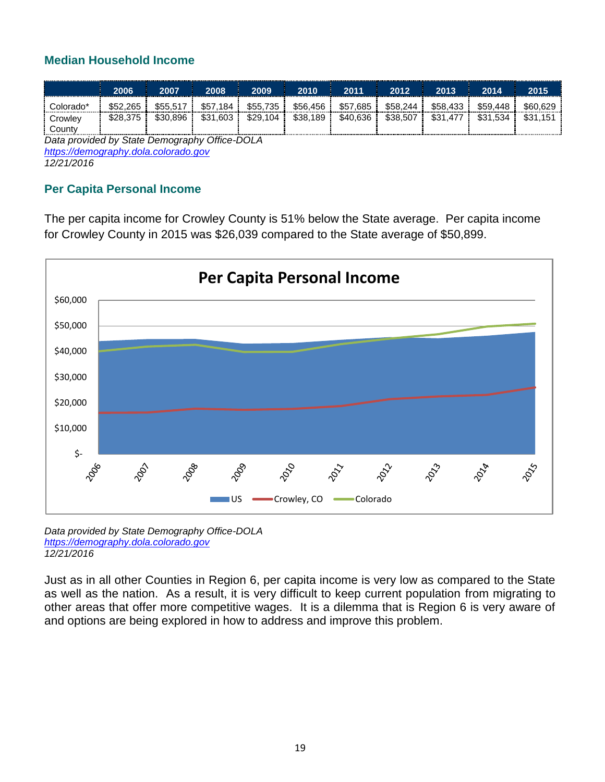# **Median Household Income**

|           | 2006     | 2007     | 2008     | 2009     | 2010     | 2011     | 2012     | 2013     | 2014         | 2015 |
|-----------|----------|----------|----------|----------|----------|----------|----------|----------|--------------|------|
| Colorado' | \$52,265 | \$55.517 | \$57.184 | \$55,735 | \$56,456 | \$57.685 | \$58.244 | \$58,433 | \$59.448     |      |
| Crowley   |          | \$30.896 | \$31,603 | \$29.104 | \$38,189 | \$40.636 | \$38.507 | \$31.47  | \$31<br>.534 | ጦጣ   |
| Countv    |          |          |          |          |          |          |          |          |              |      |

*Data provided by State Demography Office-DOLA [https://demography.dola.colorado.gov](https://demography.dola.colorado.gov/) 12/21/2016*

# **Per Capita Personal Income**

The per capita income for Crowley County is 51% below the State average. Per capita income for Crowley County in 2015 was \$26,039 compared to the State average of \$50,899.



*Data provided by State Demography Office-DOLA [https://demography.dola.colorado.gov](https://demography.dola.colorado.gov/) 12/21/2016*

Just as in all other Counties in Region 6, per capita income is very low as compared to the State as well as the nation. As a result, it is very difficult to keep current population from migrating to other areas that offer more competitive wages. It is a dilemma that is Region 6 is very aware of and options are being explored in how to address and improve this problem.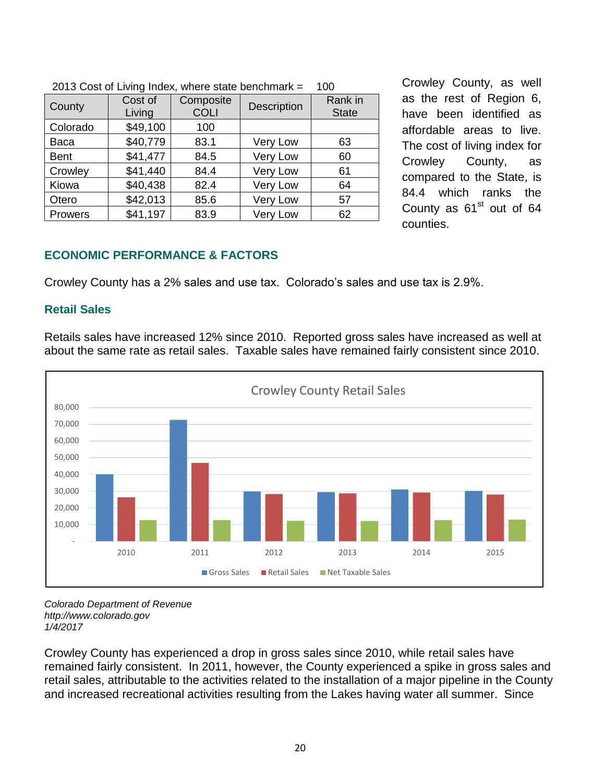| $\epsilon$ to boot of Eighty maps, whole state benominally $-$<br>. vv |                   |                          |                 |                         |  |  |  |  |  |
|------------------------------------------------------------------------|-------------------|--------------------------|-----------------|-------------------------|--|--|--|--|--|
| County                                                                 | Cost of<br>Living | Composite<br><b>COLI</b> | Description     | Rank in<br><b>State</b> |  |  |  |  |  |
| Colorado                                                               | \$49,100          | 100                      |                 |                         |  |  |  |  |  |
| Baca                                                                   | \$40,779          | 83.1                     | <b>Very Low</b> | 63                      |  |  |  |  |  |
| <b>Bent</b>                                                            | \$41,477          | 84.5                     | Very Low        | 60                      |  |  |  |  |  |
| Crowley                                                                | \$41,440          | 84.4                     | Very Low        | 61                      |  |  |  |  |  |
| Kiowa                                                                  | \$40,438          | 82.4                     | Very Low        | 64                      |  |  |  |  |  |
| Otero                                                                  | \$42,013          | 85.6                     | <b>Very Low</b> | 57                      |  |  |  |  |  |
| Prowers                                                                | \$41,197          | 83.9                     | Very Low        | 62                      |  |  |  |  |  |

Crowley County, as well as the rest of Region 6, have been identified as affordable areas to live. The cost of living index for Crowley County, as compared to the State, is 84.4 which ranks the County as  $61<sup>st</sup>$  out of 64 counties.

#### 2013 Cost of Living Index, where state benchmark  $= 100$

# **ECONOMIC PERFORMANCE & FACTORS**

Crowley County has a 2% sales and use tax. Colorado's sales and use tax is 2.9%.

#### **Retail Sales**

Retails sales have increased 12% since 2010. Reported gross sales have increased as well at about the same rate as retail sales. Taxable sales have remained fairly consistent since 2010.



#### *Colorado Department of Revenue [http://www.colorado.gov](http://www.colorado.gov/) 1/4/2017*

Crowley County has experienced a drop in gross sales since 2010, while retail sales have remained fairly consistent. In 2011, however, the County experienced a spike in gross sales and retail sales, attributable to the activities related to the installation of a major pipeline in the County and increased recreational activities resulting from the Lakes having water all summer. Since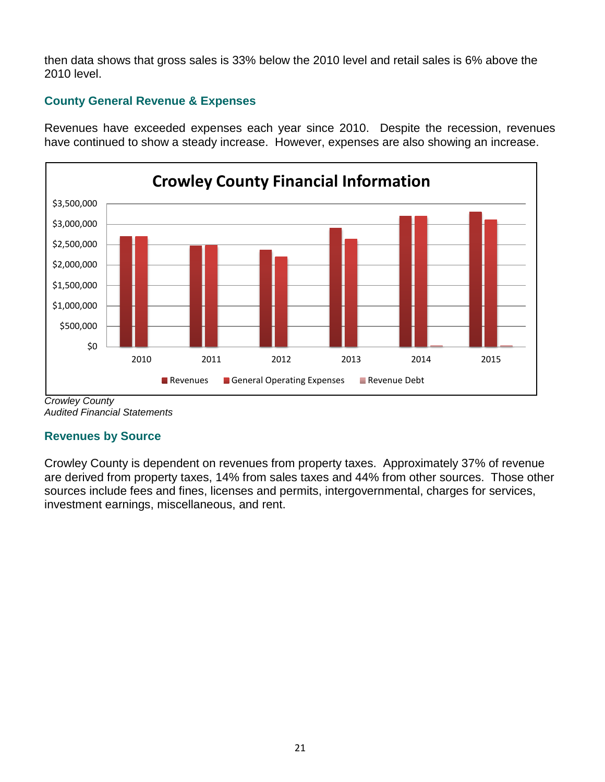then data shows that gross sales is 33% below the 2010 level and retail sales is 6% above the 2010 level.

# **County General Revenue & Expenses**

Revenues have exceeded expenses each year since 2010. Despite the recession, revenues have continued to show a steady increase. However, expenses are also showing an increase.



*Crowley County Audited Financial Statements*

# **Revenues by Source**

Crowley County is dependent on revenues from property taxes. Approximately 37% of revenue are derived from property taxes, 14% from sales taxes and 44% from other sources. Those other sources include fees and fines, licenses and permits, intergovernmental, charges for services, investment earnings, miscellaneous, and rent.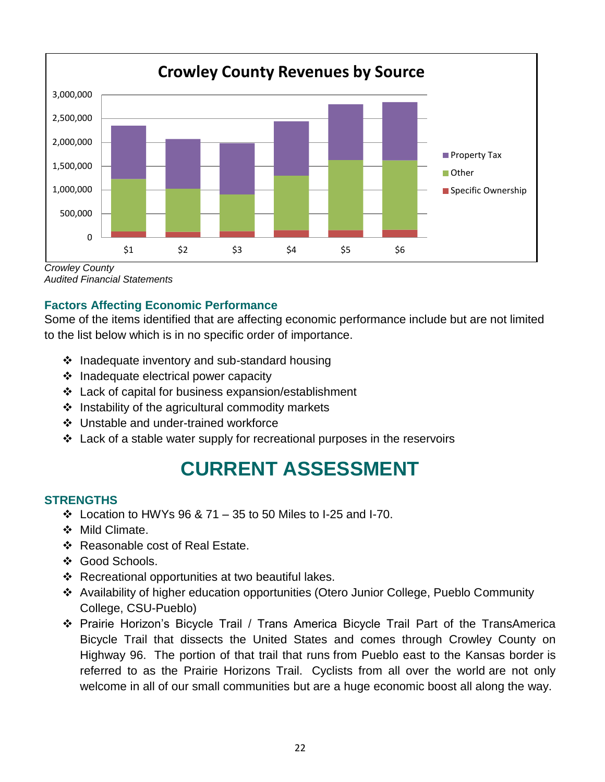

*Crowley County Audited Financial Statements*

# **Factors Affecting Economic Performance**

Some of the items identified that are affecting economic performance include but are not limited to the list below which is in no specific order of importance.

- $\cdot$  Inadequate inventory and sub-standard housing
- $\div$  Inadequate electrical power capacity
- Lack of capital for business expansion/establishment
- $\div$  Instability of the agricultural commodity markets
- Unstable and under-trained workforce
- $\cdot$  Lack of a stable water supply for recreational purposes in the reservoirs

# **CURRENT ASSESSMENT**

# **STRENGTHS**

- Location to HWYs 96 & 71 35 to 50 Miles to I-25 and I-70.
- $\div$  Mild Climate.
- ❖ Reasonable cost of Real Estate.
- ❖ Good Schools.
- ❖ Recreational opportunities at two beautiful lakes.
- Availability of higher education opportunities (Otero Junior College, Pueblo Community College, CSU-Pueblo)
- Prairie Horizon's Bicycle Trail / Trans America Bicycle Trail Part of the TransAmerica Bicycle Trail that dissects the United States and comes through Crowley County on Highway 96. The portion of that trail that runs from Pueblo east to the Kansas border is referred to as the Prairie Horizons Trail. Cyclists from all over the world are not only welcome in all of our small communities but are a huge economic boost all along the way.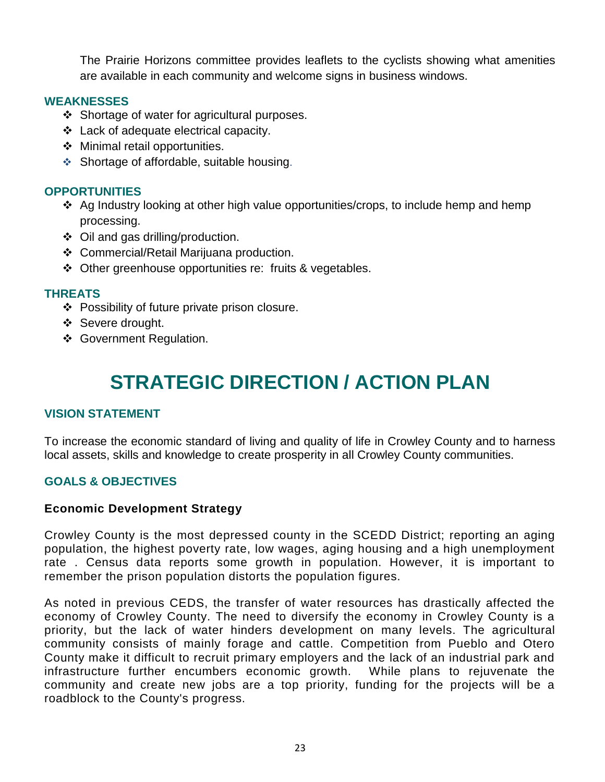The Prairie Horizons committee provides leaflets to the cyclists showing what amenities are available in each community and welcome signs in business windows.

#### **WEAKNESSES**

- ❖ Shortage of water for agricultural purposes.
- Lack of adequate electrical capacity.
- ◆ Minimal retail opportunities.
- Shortage of affordable, suitable housing.

# **OPPORTUNITIES**

- Ag Industry looking at other high value opportunities/crops, to include hemp and hemp processing.
- Oil and gas drilling/production.
- Commercial/Retail Marijuana production.
- ❖ Other greenhouse opportunities re: fruits & vegetables.

#### **THREATS**

- ❖ Possibility of future private prison closure.
- ❖ Severe drought.
- Government Regulation.

# **STRATEGIC DIRECTION / ACTION PLAN**

# **VISION STATEMENT**

To increase the economic standard of living and quality of life in Crowley County and to harness local assets, skills and knowledge to create prosperity in all Crowley County communities.

# **GOALS & OBJECTIVES**

#### **Economic Development Strategy**

Crowley County is the most depressed county in the SCEDD District; reporting an aging population, the highest poverty rate, low wages, aging housing and a high unemployment rate . Census data reports some growth in population. However, it is important to remember the prison population distorts the population figures.

As noted in previous CEDS, the transfer of water resources has drastically affected the economy of Crowley County. The need to diversify the economy in Crowley County is a priority, but the lack of water hinders development on many levels. The agricultural community consists of mainly forage and cattle. Competition from Pueblo and Otero County make it difficult to recruit primary employers and the lack of an industrial park and infrastructure further encumbers economic growth. While plans to rejuvenate the community and create new jobs are a top priority, funding for the projects will be a roadblock to the County's progress.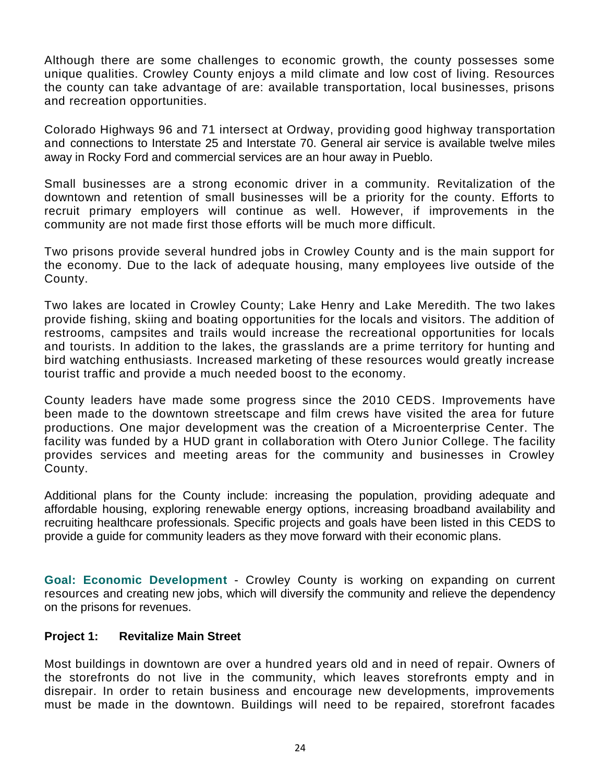Although there are some challenges to economic growth, the county possesses some unique qualities. Crowley County enjoys a mild climate and low cost of living. Resources the county can take advantage of are: available transportation, local businesses, prisons and recreation opportunities.

Colorado Highways 96 and 71 intersect at Ordway, providing good highway transportation and connections to Interstate 25 and Interstate 70. General air service is available twelve miles away in Rocky Ford and commercial services are an hour away in Pueblo.

Small businesses are a strong economic driver in a community. Revitalization of the downtown and retention of small businesses will be a priority for the county. Efforts to recruit primary employers will continue as well. However, if improvements in the community are not made first those efforts will be much more difficult.

Two prisons provide several hundred jobs in Crowley County and is the main support for the economy. Due to the lack of adequate housing, many employees live outside of the County.

Two lakes are located in Crowley County; Lake Henry and Lake Meredith. The two lakes provide fishing, skiing and boating opportunities for the locals and visitors. The addition of restrooms, campsites and trails would increase the recreational opportunities for locals and tourists. In addition to the lakes, the grasslands are a prime territory for hunting and bird watching enthusiasts. Increased marketing of these resources would greatly increase tourist traffic and provide a much needed boost to the economy.

County leaders have made some progress since the 2010 CEDS. Improvements have been made to the downtown streetscape and film crews have visited the area for future productions. One major development was the creation of a Microenterprise Center. The facility was funded by a HUD grant in collaboration with Otero Junior College. The facility provides services and meeting areas for the community and businesses in Crowley County.

Additional plans for the County include: increasing the population, providing adequate and affordable housing, exploring renewable energy options, increasing broadband availability and recruiting healthcare professionals. Specific projects and goals have been listed in this CEDS to provide a guide for community leaders as they move forward with their economic plans.

**Goal: Economic Development** - Crowley County is working on expanding on current resources and creating new jobs, which will diversify the community and relieve the dependency on the prisons for revenues.

#### **Project 1: Revitalize Main Street**

Most buildings in downtown are over a hundred years old and in need of repair. Owners of the storefronts do not live in the community, which leaves storefronts empty and in disrepair. In order to retain business and encourage new developments, improvements must be made in the downtown. Buildings will need to be repaired, storefront facades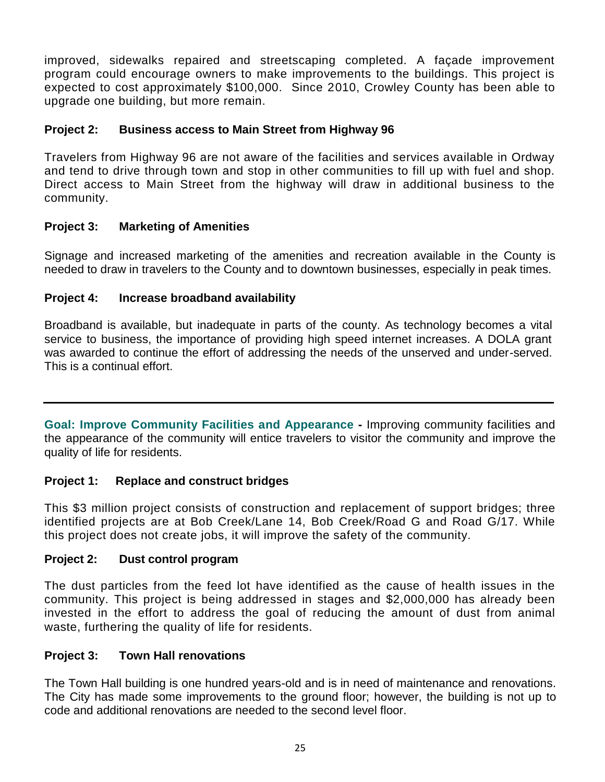improved, sidewalks repaired and streetscaping completed. A façade improvement program could encourage owners to make improvements to the buildings. This project is expected to cost approximately \$100,000. Since 2010, Crowley County has been able to upgrade one building, but more remain.

# **Project 2: Business access to Main Street from Highway 96**

Travelers from Highway 96 are not aware of the facilities and services available in Ordway and tend to drive through town and stop in other communities to fill up with fuel and shop. Direct access to Main Street from the highway will draw in additional business to the community.

# **Project 3: Marketing of Amenities**

Signage and increased marketing of the amenities and recreation available in the County is needed to draw in travelers to the County and to downtown businesses, especially in peak times.

#### **Project 4: Increase broadband availability**

Broadband is available, but inadequate in parts of the county. As technology becomes a vital service to business, the importance of providing high speed internet increases. A DOLA grant was awarded to continue the effort of addressing the needs of the unserved and under-served. This is a continual effort.

**Goal: Improve Community Facilities and Appearance -** Improving community facilities and the appearance of the community will entice travelers to visitor the community and improve the quality of life for residents.

#### **Project 1: Replace and construct bridges**

This \$3 million project consists of construction and replacement of support bridges; three identified projects are at Bob Creek/Lane 14, Bob Creek/Road G and Road G/17. While this project does not create jobs, it will improve the safety of the community.

#### **Project 2: Dust control program**

The dust particles from the feed lot have identified as the cause of health issues in the community. This project is being addressed in stages and \$2,000,000 has already been invested in the effort to address the goal of reducing the amount of dust from animal waste, furthering the quality of life for residents.

#### **Project 3: Town Hall renovations**

The Town Hall building is one hundred years-old and is in need of maintenance and renovations. The City has made some improvements to the ground floor; however, the building is not up to code and additional renovations are needed to the second level floor.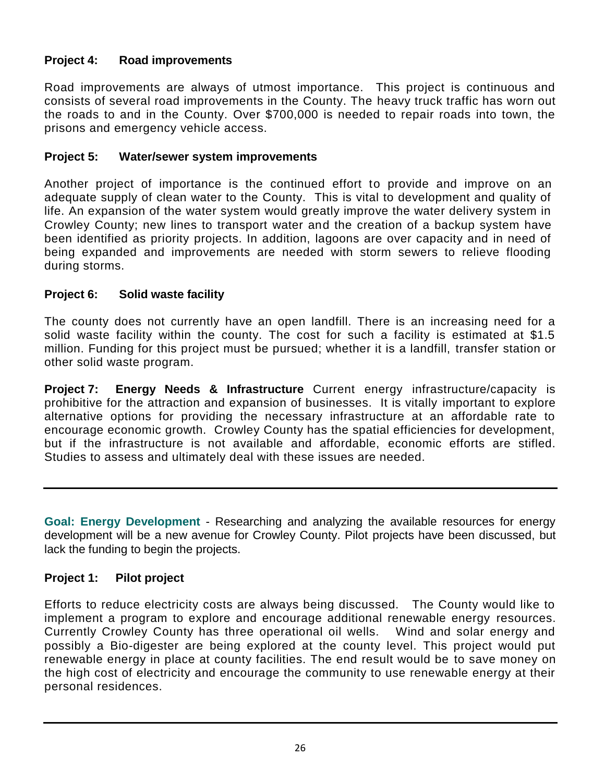# **Project 4: Road improvements**

Road improvements are always of utmost importance. This project is continuous and consists of several road improvements in the County. The heavy truck traffic has worn out the roads to and in the County. Over \$700,000 is needed to repair roads into town, the prisons and emergency vehicle access.

# **Project 5: Water/sewer system improvements**

Another project of importance is the continued effort to provide and improve on an adequate supply of clean water to the County. This is vital to development and quality of life. An expansion of the water system would greatly improve the water delivery system in Crowley County; new lines to transport water and the creation of a backup system have been identified as priority projects. In addition, lagoons are over capacity and in need of being expanded and improvements are needed with storm sewers to relieve flooding during storms.

# **Project 6: Solid waste facility**

The county does not currently have an open landfill. There is an increasing need for a solid waste facility within the county. The cost for such a facility is estimated at \$1.5 million. Funding for this project must be pursued; whether it is a landfill, transfer station or other solid waste program.

**Project 7: Energy Needs & Infrastructure** Current energy infrastructure/capacity is prohibitive for the attraction and expansion of businesses. It is vitally important to explore alternative options for providing the necessary infrastructure at an affordable rate to encourage economic growth. Crowley County has the spatial efficiencies for development, but if the infrastructure is not available and affordable, economic efforts are stifled. Studies to assess and ultimately deal with these issues are needed.

**Goal: Energy Development** - Researching and analyzing the available resources for energy development will be a new avenue for Crowley County. Pilot projects have been discussed, but lack the funding to begin the projects.

# **Project 1: Pilot project**

Efforts to reduce electricity costs are always being discussed. The County would like to implement a program to explore and encourage additional renewable energy resources. Currently Crowley County has three operational oil wells. Wind and solar energy and possibly a Bio-digester are being explored at the county level. This project would put renewable energy in place at county facilities. The end result would be to save money on the high cost of electricity and encourage the community to use renewable energy at their personal residences.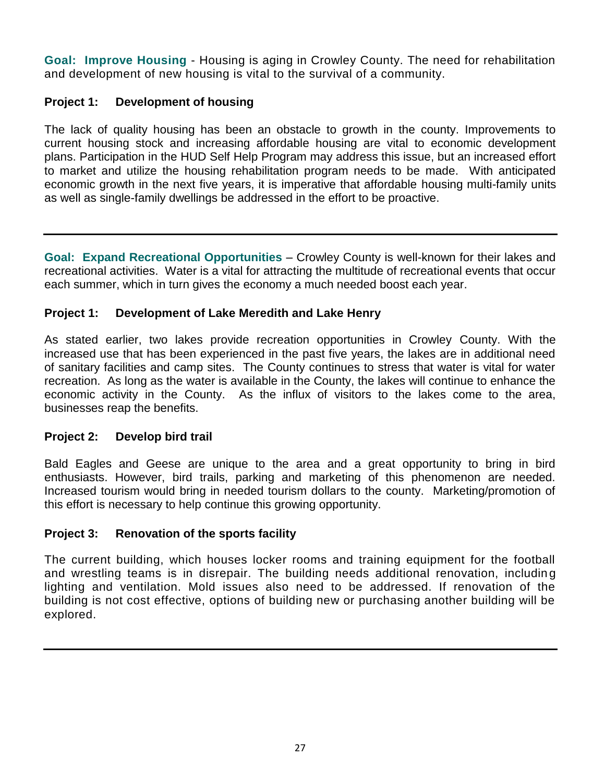**Goal: Improve Housing** - Housing is aging in Crowley County. The need for rehabilitation and development of new housing is vital to the survival of a community.

# **Project 1: Development of housing**

The lack of quality housing has been an obstacle to growth in the county. Improvements to current housing stock and increasing affordable housing are vital to economic development plans. Participation in the HUD Self Help Program may address this issue, but an increased effort to market and utilize the housing rehabilitation program needs to be made. With anticipated economic growth in the next five years, it is imperative that affordable housing multi-family units as well as single-family dwellings be addressed in the effort to be proactive.

**Goal: Expand Recreational Opportunities** – Crowley County is well-known for their lakes and recreational activities. Water is a vital for attracting the multitude of recreational events that occur each summer, which in turn gives the economy a much needed boost each year.

# **Project 1: Development of Lake Meredith and Lake Henry**

As stated earlier, two lakes provide recreation opportunities in Crowley County. With the increased use that has been experienced in the past five years, the lakes are in additional need of sanitary facilities and camp sites. The County continues to stress that water is vital for water recreation. As long as the water is available in the County, the lakes will continue to enhance the economic activity in the County. As the influx of visitors to the lakes come to the area, businesses reap the benefits.

# **Project 2: Develop bird trail**

Bald Eagles and Geese are unique to the area and a great opportunity to bring in bird enthusiasts. However, bird trails, parking and marketing of this phenomenon are needed. Increased tourism would bring in needed tourism dollars to the county. Marketing/promotion of this effort is necessary to help continue this growing opportunity.

# **Project 3: Renovation of the sports facility**

The current building, which houses locker rooms and training equipment for the football and wrestling teams is in disrepair. The building needs additional renovation, includin g lighting and ventilation. Mold issues also need to be addressed. If renovation of the building is not cost effective, options of building new or purchasing another building will be explored.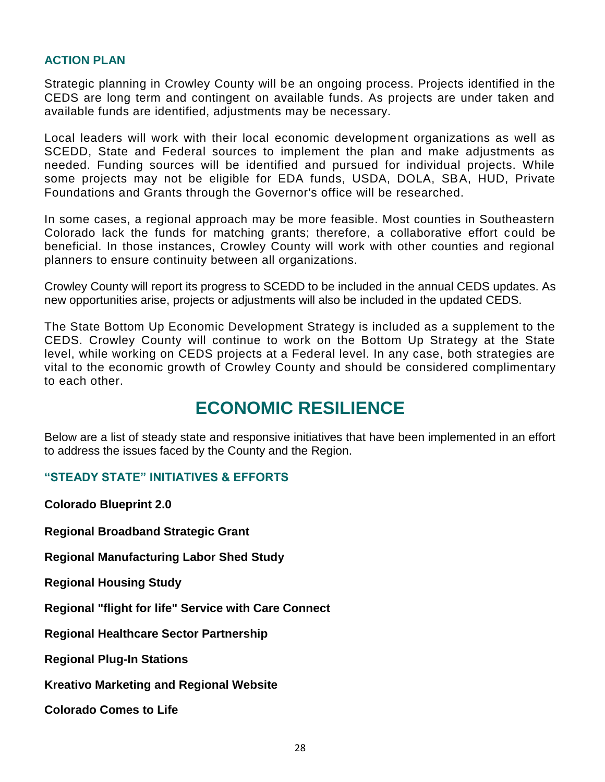#### **ACTION PLAN**

Strategic planning in Crowley County will be an ongoing process. Projects identified in the CEDS are long term and contingent on available funds. As projects are under taken and available funds are identified, adjustments may be necessary.

Local leaders will work with their local economic development organizations as well as SCEDD, State and Federal sources to implement the plan and make adjustments as needed. Funding sources will be identified and pursued for individual projects. While some projects may not be eligible for EDA funds, USDA, DOLA, SBA, HUD, Private Foundations and Grants through the Governor's office will be researched.

In some cases, a regional approach may be more feasible. Most counties in Southeastern Colorado lack the funds for matching grants; therefore, a collaborative effort could be beneficial. In those instances, Crowley County will work with other counties and regional planners to ensure continuity between all organizations.

Crowley County will report its progress to SCEDD to be included in the annual CEDS updates. As new opportunities arise, projects or adjustments will also be included in the updated CEDS.

The State Bottom Up Economic Development Strategy is included as a supplement to the CEDS. Crowley County will continue to work on the Bottom Up Strategy at the State level, while working on CEDS projects at a Federal level. In any case, both strategies are vital to the economic growth of Crowley County and should be considered complimentary to each other.

# **ECONOMIC RESILIENCE**

Below are a list of steady state and responsive initiatives that have been implemented in an effort to address the issues faced by the County and the Region.

#### **"STEADY STATE" INITIATIVES & EFFORTS**

**Colorado Blueprint 2.0**

**Regional Broadband Strategic Grant**

**Regional Manufacturing Labor Shed Study**

**Regional Housing Study**

**Regional "flight for life" Service with Care Connect**

**Regional Healthcare Sector Partnership**

**Regional Plug-In Stations** 

**Kreativo Marketing and Regional Website**

**Colorado Comes to Life**